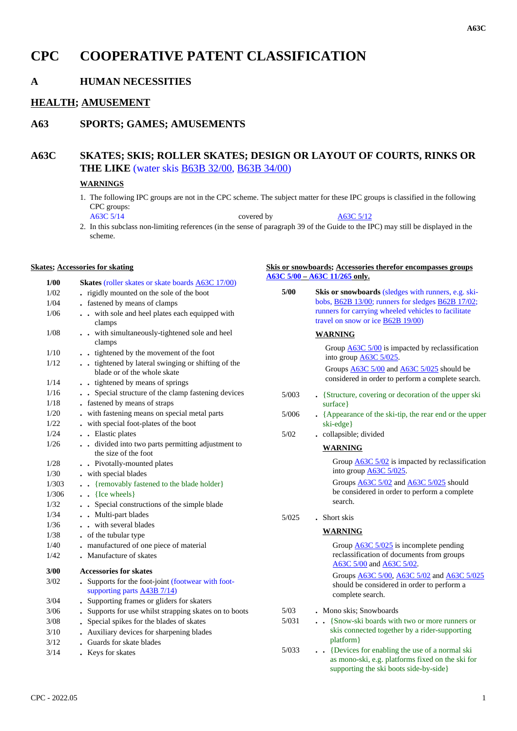# **CPC COOPERATIVE PATENT CLASSIFICATION**

## **A HUMAN NECESSITIES**

### **HEALTH; AMUSEMENT**

### **A63 SPORTS; GAMES; AMUSEMENTS**

### **A63C SKATES; SKIS; ROLLER SKATES; DESIGN OR LAYOUT OF COURTS, RINKS OR THE LIKE** (water skis B63B 32/00, B63B 34/00)

### **WARNINGS**

1. The following IPC groups are not in the CPC scheme. The subject matter for these IPC groups is classified in the following CPC groups:

A63C 5/14 covered by A63C 5/12

2. In this subclass non-limiting references (in the sense of paragraph 39 of the Guide to the IPC) may still be displayed in the scheme.

**Skis or snowboards; Accessories therefor encompasses groups**

#### **Skates; Accessories for skating**

| 1/00           | <b>Skates</b> (roller skates or skate boards A63C 17/00)                          |       | $\overline{A63C}$ 5/00 – $\overline{A63C}$ 11/265 only.                                                                                       |
|----------------|-----------------------------------------------------------------------------------|-------|-----------------------------------------------------------------------------------------------------------------------------------------------|
| 1/02           | . rigidly mounted on the sole of the boot                                         | 5/00  | Skis or snowboards (sledges with runners, e.g. ski-                                                                                           |
| 1/04           | . fastened by means of clamps                                                     |       | bobs, B62B 13/00; runners for sledges B62B 17/02;                                                                                             |
| 1/06           | . . with sole and heel plates each equipped with                                  |       | runners for carrying wheeled vehicles to facilitate                                                                                           |
|                | clamps                                                                            |       | travel on snow or ice <b>B62B 19/00</b> )                                                                                                     |
| 1/08           | . . with simultaneously-tightened sole and heel                                   |       | <b>WARNING</b>                                                                                                                                |
|                | clamps                                                                            |       | Group $\triangle$ 63C 5/00 is impacted by reclassification                                                                                    |
| 1/10           | . . tightened by the movement of the foot                                         |       | into group <b>A63C</b> 5/025.                                                                                                                 |
| 1/12           | tightened by lateral swinging or shifting of the                                  |       | Groups A63C 5/00 and A63C 5/025 should be                                                                                                     |
|                | blade or of the whole skate                                                       |       | considered in order to perform a complete search.                                                                                             |
| 1/14           | . . tightened by means of springs                                                 |       |                                                                                                                                               |
| 1/16           | Special structure of the clamp fastening devices                                  | 5/003 | • {Structure, covering or decoration of the upper ski                                                                                         |
| 1/18           | - fastened by means of straps                                                     |       | surface }                                                                                                                                     |
| $1/20$<br>1/22 | . with fastening means on special metal parts                                     | 5/006 | • {Appearance of the ski-tip, the rear end or the upper                                                                                       |
| 1/24           | . with special foot-plates of the boot<br>. . Elastic plates                      |       | ski-edge}                                                                                                                                     |
| 1/26           | divided into two parts permitting adjustment to                                   | 5/02  | . collapsible; divided                                                                                                                        |
|                | the size of the foot                                                              |       | <b>WARNING</b>                                                                                                                                |
| 1/28           | . Pivotally-mounted plates                                                        |       | Group $\underline{\text{A63C}}$ 5/02 is impacted by reclassification                                                                          |
| 1/30           | - with special blades                                                             |       | into group $\underline{\mathsf{A}63\mathsf{C}}\ \underline{\mathsf{5}}/025$ .                                                                 |
| 1/303          | . {removably fastened to the blade holder}                                        |       | Groups A63C 5/02 and A63C 5/025 should                                                                                                        |
| 1/306          | $\bullet$ {Ice wheels}                                                            |       | be considered in order to perform a complete                                                                                                  |
| 1/32           | . . Special constructions of the simple blade                                     |       | search.                                                                                                                                       |
| 1/34           | . . Multi-part blades                                                             | 5/025 | . Short skis                                                                                                                                  |
| 1/36           | . . with several blades                                                           |       |                                                                                                                                               |
| 1/38           | • of the tubular type                                                             |       | <b>WARNING</b>                                                                                                                                |
| 1/40           | . manufactured of one piece of material                                           |       | Group $A63C$ 5/025 is incomplete pending                                                                                                      |
| 1/42           | . Manufacture of skates                                                           |       | reclassification of documents from groups                                                                                                     |
| 3/00           | <b>Accessories for skates</b>                                                     |       | A63C 5/00 and A63C 5/02.                                                                                                                      |
|                |                                                                                   |       | Groups <b>A63C 5/00</b> , <b>A63C 5/02</b> and <b>A63C 5/025</b>                                                                              |
| 3/02           | . Supports for the foot-joint (footwear with foot-<br>supporting parts A43B 7/14) |       | should be considered in order to perform a                                                                                                    |
| 3/04           | . Supporting frames or gliders for skaters                                        |       | complete search.                                                                                                                              |
| 3/06           | . Supports for use whilst strapping skates on to boots                            | 5/03  | . Mono skis; Snowboards                                                                                                                       |
| 3/08           | . Special spikes for the blades of skates                                         | 5/031 | • · {Snow-ski boards with two or more runners or                                                                                              |
| 3/10           | . Auxiliary devices for sharpening blades                                         |       | skis connected together by a rider-supporting                                                                                                 |
| 3/12           | • Guards for skate blades                                                         |       | platform }                                                                                                                                    |
| 3/14           | . Keys for skates                                                                 | 5/033 | . Devices for enabling the use of a normal ski<br>as mono-ski, e.g. platforms fixed on the ski for<br>supporting the ski boots side-by-side } |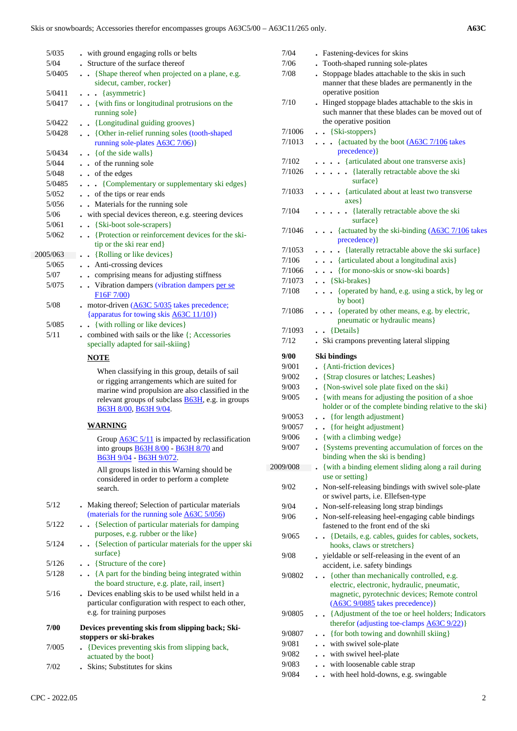| 5/035           | . with ground engaging rolls or belts                                                                                                                                                                                                     |                |
|-----------------|-------------------------------------------------------------------------------------------------------------------------------------------------------------------------------------------------------------------------------------------|----------------|
| 5/04            | • Structure of the surface thereof                                                                                                                                                                                                        |                |
| 5/0405          | • · {Shape thereof when projected on a plane, e.g.<br>sidecut, camber, rocker}                                                                                                                                                            |                |
| 5/0411          | $\ldots$ {asymmetric}                                                                                                                                                                                                                     |                |
| 5/0417          | . . {with fins or longitudinal protrusions on the<br>running sole}                                                                                                                                                                        |                |
| 5/0422          | . . {Longitudinal guiding grooves}                                                                                                                                                                                                        |                |
| 5/0428          | . {Other in-relief running soles (tooth-shaped<br>running sole-plates A63C 7/06)}                                                                                                                                                         |                |
| 5/0434          | $\bullet$ $\bullet$ { of the side walls }                                                                                                                                                                                                 |                |
| 5/044           | . . of the running sole                                                                                                                                                                                                                   |                |
| 5/048<br>5/0485 | . . of the edges                                                                                                                                                                                                                          |                |
| 5/052           | {Complementary or supplementary ski edges}<br>. . of the tips or rear ends                                                                                                                                                                |                |
| 5/056           | . Materials for the running sole                                                                                                                                                                                                          |                |
| 5/06            | . with special devices thereon, e.g. steering devices                                                                                                                                                                                     |                |
| 5/061           | . . {Ski-boot sole-scrapers}                                                                                                                                                                                                              |                |
| 5/062           | {Protection or reinforcement devices for the ski-                                                                                                                                                                                         |                |
|                 | tip or the ski rear end                                                                                                                                                                                                                   |                |
| 2005/063        | • {Rolling or like devices}                                                                                                                                                                                                               |                |
| 5/065           | Anti-crossing devices                                                                                                                                                                                                                     |                |
| 5/07            | . comprising means for adjusting stiffness                                                                                                                                                                                                |                |
| 5/075           | • Vibration dampers (vibration dampers per se<br>F <sub>16</sub> F <sub>7</sub> /00 <sup>)</sup>                                                                                                                                          |                |
| 5/08            | - motor-driven $(A63C)$ 5/035 takes precedence;                                                                                                                                                                                           |                |
|                 | {apparatus for towing skis A63C 11/10})                                                                                                                                                                                                   |                |
| 5/085<br>5/11   | . { with rolling or like devices}                                                                                                                                                                                                         |                |
|                 | $\bullet$ combined with sails or the like $\{$ ; Accessories<br>specially adapted for sail-skiing}                                                                                                                                        |                |
|                 | <b>NOTE</b>                                                                                                                                                                                                                               |                |
|                 | When classifying in this group, details of sail<br>or rigging arrangements which are suited for<br>marine wind propulsion are also classified in the<br>relevant groups of subclass <b>B63H</b> , e.g. in groups<br>В63Н 8/00, В63Н 9/04. |                |
|                 | <b>WARNING</b>                                                                                                                                                                                                                            |                |
|                 | Group $\underline{A63C}$ 5/11 is impacted by reclassification<br>into groups <b>B63H 8/00</b> - B63H 8/70 and<br>B63H 9/04 - B63H 9/072.                                                                                                  |                |
|                 | All groups listed in this Warning should be<br>considered in order to perform a complete<br>search.                                                                                                                                       | $\overline{2}$ |
| 5/12            | • Making thereof; Selection of particular materials<br>(materials for the running sole A63C 5/056)                                                                                                                                        |                |
| 5/122           | {Selection of particular materials for damping<br>$\ddotsc$<br>purposes, e.g. rubber or the like}                                                                                                                                         |                |
| 5/124           | {Selection of particular materials for the upper ski<br>surface }                                                                                                                                                                         |                |
| 5/126           | . {Structure of the core}                                                                                                                                                                                                                 |                |
| 5/128           | . . {A part for the binding being integrated within<br>the board structure, e.g. plate, rail, insert}                                                                                                                                     |                |
| 5/16            | . Devices enabling skis to be used whilst held in a<br>particular configuration with respect to each other,<br>e.g. for training purposes                                                                                                 |                |
| 7/00            | Devices preventing skis from slipping back; Ski-<br>stoppers or ski-brakes                                                                                                                                                                |                |
| 7/005           | {Devices preventing skis from slipping back,<br>actuated by the boot}                                                                                                                                                                     |                |
| 7/02            | Skins; Substitutes for skins                                                                                                                                                                                                              |                |

| 7/04           | . Fastening-devices for skins                                                                              |
|----------------|------------------------------------------------------------------------------------------------------------|
| 7/06           | • Tooth-shaped running sole-plates                                                                         |
| 7/08           | . Stoppage blades attachable to the skis in such                                                           |
|                | manner that these blades are permanently in the                                                            |
|                | operative position                                                                                         |
| 7/10           | . Hinged stoppage blades attachable to the skis in                                                         |
|                | such manner that these blades can be moved out of                                                          |
|                | the operative position                                                                                     |
| 7/1006         | $\bullet$ {Ski-stoppers}                                                                                   |
| 7/1013         | {actuated by the boot (A63C 7/106 takes<br>.                                                               |
| 7/102          | precedence) }<br>{articulated about one transverse axis}                                                   |
| 7/1026         | . {laterally retractable above the ski                                                                     |
|                | surface }                                                                                                  |
| 7/1033         | · {articulated about at least two transverse                                                               |
|                | $axes\}$                                                                                                   |
| 7/104          | {laterally retractable above the ski                                                                       |
|                | surface }                                                                                                  |
| 7/1046         | {actuated by the ski-binding (A63C 7/106 takes<br>$\ddot{\phantom{0}}$                                     |
|                | precedence) }                                                                                              |
| 7/1053         | {laterally retractable above the ski surface}                                                              |
| 7/106          | . {articulated about a longitudinal axis}                                                                  |
| 7/1066         | . {for mono-skis or snow-ski boards}                                                                       |
| 7/1073         | $\bullet$ {Ski-brakes}                                                                                     |
| 7/108          | {operated by hand, e.g. using a stick, by leg or<br>$\ddot{\phantom{a}}$                                   |
|                | by boot}                                                                                                   |
| 7/1086         | {operated by other means, e.g. by electric,                                                                |
|                | pneumatic or hydraulic means}                                                                              |
| 7/1093         | $\bullet$ $\bullet$ {Details}                                                                              |
| 7/12           | Ski crampons preventing lateral slipping                                                                   |
| 9/00           |                                                                                                            |
|                |                                                                                                            |
| 9/001          | Ski bindings                                                                                               |
| 9/002          | {Anti-friction devices}                                                                                    |
| 9/003          | • {Strap closures or latches; Leashes}<br>$\ddot{\phantom{0}}$                                             |
| 9/005          | {Non-swivel sole plate fixed on the ski}<br>$\ddot{\phantom{0}}$                                           |
|                | {with means for adjusting the position of a shoe<br>holder or of the complete binding relative to the ski} |
| 9/0053         | . {for length adjustment}                                                                                  |
| 9/0057         | {for height adjustment}                                                                                    |
| 9/006          | . {with a climbing wedge}                                                                                  |
| 9/007          | • {Systems preventing accumulation of forces on the                                                        |
|                | binding when the ski is bending}                                                                           |
| 2009/008       | {with a binding element sliding along a rail during                                                        |
|                | use or setting}                                                                                            |
| 9/02           | Non-self-releasing bindings with swivel sole-plate                                                         |
|                | or swivel parts, i.e. Ellefsen-type                                                                        |
| 9/04           | Non-self-releasing long strap bindings                                                                     |
| 9/06           | . Non-self-releasing heel-engaging cable bindings                                                          |
|                | fastened to the front end of the ski                                                                       |
| 9/065          | {Details, e.g. cables, guides for cables, sockets,                                                         |
|                | hooks, claws or stretchers}                                                                                |
| 9/08           | - yieldable or self-releasing in the event of an                                                           |
| 9/0802         | accident, i.e. safety bindings                                                                             |
|                | {other than mechanically controlled, e.g.<br>electric, electronic, hydraulic, pneumatic,                   |
|                | magnetic, pyrotechnic devices; Remote control                                                              |
|                | (A63C 9/0885 takes precedence) }                                                                           |
| 9/0805         | • {Adjustment of the toe or heel holders; Indicators                                                       |
|                | therefor (adjusting toe-clamps A63C 9/22)}                                                                 |
| 9/0807         | • {for both towing and downhill skiing}                                                                    |
| 9/081          | . with swivel sole-plate                                                                                   |
| 9/082          | . with swivel heel-plate                                                                                   |
| 9/083<br>9/084 | . with loosenable cable strap<br>with heel hold-downs, e.g. swingable<br>$\ddot{\phantom{0}}$              |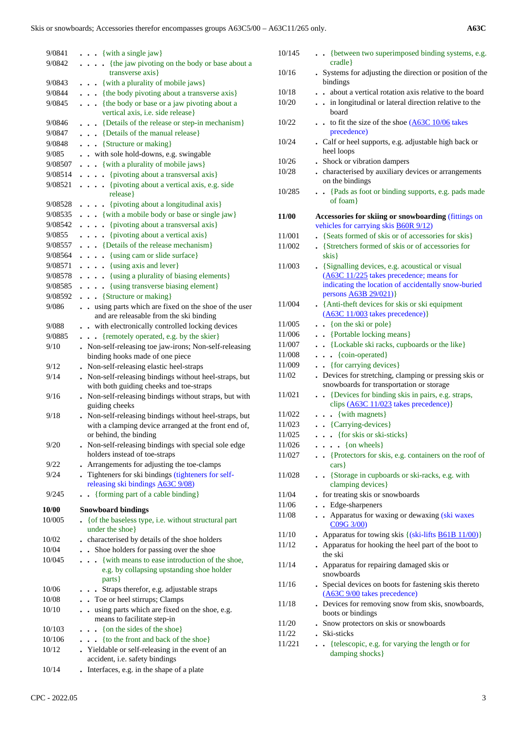| 9/0841          | $\ldots$ {with a single jaw}                                                                      | 10/145 | {between two superimposed binding systems, e.g.                                                    |
|-----------------|---------------------------------------------------------------------------------------------------|--------|----------------------------------------------------------------------------------------------------|
| 9/0842          | . {the jaw pivoting on the body or base about a                                                   |        | cradle                                                                                             |
|                 | transverse axis}                                                                                  | 10/16  | . Systems for adjusting the direction or position of the                                           |
| 9/0843          | . {with a plurality of mobile jaws}                                                               |        | bindings                                                                                           |
| 9/0844          | . {the body pivoting about a transverse axis}                                                     | 10/18  | about a vertical rotation axis relative to the board                                               |
| 9/0845          | {the body or base or a jaw pivoting about a<br>vertical axis, i.e. side release}                  | 10/20  | . . in longitudinal or lateral direction relative to the<br>board                                  |
| 9/0846          | {Details of the release or step-in mechanism}                                                     | 10/22  | to fit the size of the shoe (A63C 10/06 takes                                                      |
| 9/0847          | . {Details of the manual release}                                                                 |        | precedence)                                                                                        |
| 9/0848          | . {Structure or making}                                                                           | 10/24  | . Calf or heel supports, e.g. adjustable high back or                                              |
| 9/085           | . . with sole hold-downs, e.g. swingable                                                          |        | heel loops                                                                                         |
| 9/08507         | . {with a plurality of mobile jaws}                                                               | 10/26  | • Shock or vibration dampers                                                                       |
| 9/08514         | {pivoting about a transversal axis}                                                               | 10/28  | . characterised by auxiliary devices or arrangements                                               |
| 9/08521         | [pivoting about a vertical axis, e.g. side                                                        |        | on the bindings                                                                                    |
|                 | release }                                                                                         | 10/285 | {Pads as foot or binding supports, e.g. pads made                                                  |
| 9/08528         | . {pivoting about a longitudinal axis}                                                            |        | of foam                                                                                            |
| 9/08535         | {with a mobile body or base or single jaw}                                                        | 11/00  | Accessories for skiing or snowboarding (fittings on                                                |
| 9/08542         | {pivoting about a transversal axis}                                                               |        | vehicles for carrying skis <b>B60R 9/12</b> )                                                      |
| 9/0855          | . {pivoting about a vertical axis}                                                                | 11/001 | . {Seats formed of skis or of accessories for skis}                                                |
| 9/08557         | {Details of the release mechanism}                                                                | 11/002 | • {Stretchers formed of skis or of accessories for                                                 |
| 9/08564         | . {using cam or slide surface}                                                                    |        | skis                                                                                               |
| 9/08571         | $\ldots$ (using axis and lever)                                                                   | 11/003 | • {Signalling devices, e.g. acoustical or visual                                                   |
| 9/08578         | . {using a plurality of biasing elements}                                                         |        | (A63C 11/225 takes precedence; means for                                                           |
| 9/08585         | . {using transverse biasing element}                                                              |        | indicating the location of accidentally snow-buried                                                |
| 9/08592         | {Structure or making}                                                                             |        | persons <b>A63B 29/021</b> )}                                                                      |
| 9/086           | . . using parts which are fixed on the shoe of the user                                           | 11/004 | • {Anti-theft devices for skis or ski equipment                                                    |
|                 | and are releasable from the ski binding                                                           |        | $(A63C 11/003$ takes precedence)}                                                                  |
| 9/088           | . . with electronically controlled locking devices                                                | 11/005 | $\bullet$ (on the ski or pole)                                                                     |
| 9/0885          | {remotely operated, e.g. by the skier}                                                            | 11/006 | . Portable locking means }                                                                         |
| 9/10            | . Non-self-releasing toe jaw-irons; Non-self-releasing                                            | 11/007 | . . {Lockable ski racks, cupboards or the like}                                                    |
|                 | binding hooks made of one piece                                                                   | 11/008 | $\cdots$ {coin-operated}                                                                           |
| 9/12            | . Non-self-releasing elastic heel-straps                                                          | 11/009 | . {for carrying devices}                                                                           |
| 9/14            | . Non-self-releasing bindings without heel-straps, but<br>with both guiding cheeks and toe-straps | 11/02  | . Devices for stretching, clamping or pressing skis or<br>snowboards for transportation or storage |
| 9/16            | . Non-self-releasing bindings without straps, but with<br>guiding cheeks                          | 11/021 | . Devices for binding skis in pairs, e.g. straps,<br>clips (A63C 11/023 takes precedence)}         |
| 9/18            | . Non-self-releasing bindings without heel-straps, but                                            | 11/022 | $\cdots$ {with magnets}                                                                            |
|                 | with a clamping device arranged at the front end of,                                              | 11/023 | . . {Carrying-devices}                                                                             |
|                 | or behind, the binding                                                                            | 11/025 | {for skis or ski-sticks}                                                                           |
| 9/20            | . Non-self-releasing bindings with special sole edge                                              | 11/026 | $\ldots$ (on wheels)                                                                               |
|                 | holders instead of toe-straps                                                                     | 11/027 | {Protectors for skis, e.g. containers on the roof of                                               |
| 9/22            | Arrangements for adjusting the toe-clamps                                                         |        | cars                                                                                               |
| 9/24            | . Tighteners for ski bindings (tighteners for self-<br>releasing ski bindings A63C 9/08)          | 11/028 | • · {Storage in cupboards or ski-racks, e.g. with<br>clamping devices }                            |
| 9/245           | . {forming part of a cable binding}                                                               | 11/04  | - for treating skis or snowboards                                                                  |
|                 |                                                                                                   | 11/06  | . . Edge-sharpeners                                                                                |
| 10/00<br>10/005 | <b>Snowboard bindings</b><br>• { of the baseless type, i.e. without structural part               | 11/08  | . . Apparatus for waxing or dewaxing (ski waxes<br>C09G 3/00)                                      |
|                 | under the shoe}                                                                                   | 11/10  | • Apparatus for towing skis $\{(ski-lifts \underline{B61B} 11/00)\}\$                              |
| 10/02           | . characterised by details of the shoe holders                                                    | 11/12  | • Apparatus for hooking the heel part of the boot to                                               |
| 10/04           | Shoe holders for passing over the shoe                                                            |        | the ski                                                                                            |
| 10/045          | {with means to ease introduction of the shoe,<br>e.g. by collapsing upstanding shoe holder        | 11/14  | • Apparatus for repairing damaged skis or<br>snowboards                                            |
|                 | parts }                                                                                           | 11/16  | . Special devices on boots for fastening skis thereto                                              |
| 10/06           | . Straps therefor, e.g. adjustable straps                                                         |        | (A63C 9/00 takes precedence)                                                                       |
| 10/08           | . . Toe or heel stirrups; Clamps                                                                  | 11/18  | . Devices for removing snow from skis, snowboards,                                                 |
| 10/10           | . . using parts which are fixed on the shoe, e.g.                                                 |        | boots or bindings                                                                                  |
|                 | means to facilitate step-in                                                                       | 11/20  | . Snow protectors on skis or snowboards                                                            |
| 10/103          | $\ldots$ { on the sides of the shoe}                                                              | 11/22  | . Ski-sticks                                                                                       |
| 10/106          | {to the front and back of the shoe}                                                               | 11/221 | {telescopic, e.g. for varying the length or for                                                    |
| 10/12           | . Yieldable or self-releasing in the event of an<br>accident, i.e. safety bindings                |        | damping shocks }                                                                                   |
| 10/14           | . Interfaces, e.g. in the shape of a plate                                                        |        |                                                                                                    |
|                 |                                                                                                   |        |                                                                                                    |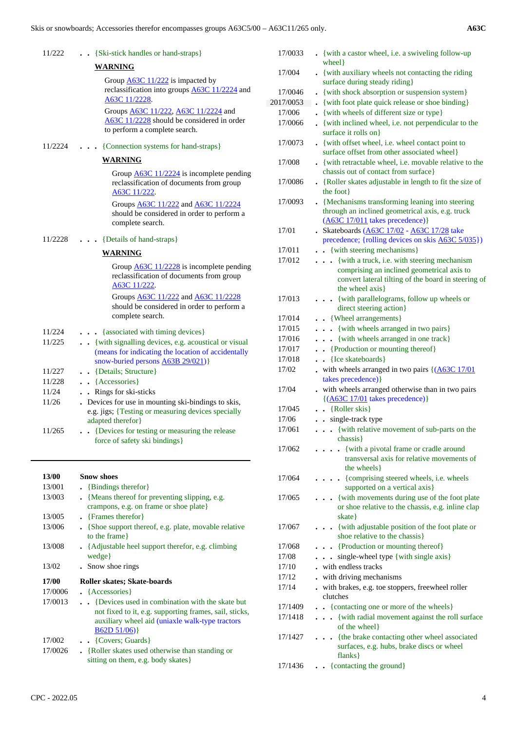| ۰,<br>۰.<br>× | × |
|---------------|---|

| 11/222         | {Ski-stick handles or hand-straps}                                                                 | 17/0033          | • {with a castor wheel, i.e. a swiveling follow-up                                              |
|----------------|----------------------------------------------------------------------------------------------------|------------------|-------------------------------------------------------------------------------------------------|
|                | <b>WARNING</b>                                                                                     | 17/004           | wheel }                                                                                         |
|                | Group $\underline{A63C}$ 11/222 is impacted by                                                     |                  | • {with auxiliary wheels not contacting the riding<br>surface during steady riding}             |
|                | reclassification into groups A63C 11/2224 and                                                      | 17/0046          | • {with shock absorption or suspension system}                                                  |
|                | A63C 11/2228.                                                                                      | 2017/0053        | • {with foot plate quick release or shoe binding}                                               |
|                | Groups <b>A63C 11/222</b> , <b>A63C 11/2224</b> and                                                | 17/006           | • {with wheels of different size or type}                                                       |
|                | A63C 11/2228 should be considered in order                                                         | 17/0066          | • {with inclined wheel, i.e. not perpendicular to the                                           |
|                | to perform a complete search.                                                                      |                  | surface it rolls on}                                                                            |
| 11/2224        | {Connection systems for hand-straps}                                                               | 17/0073          | • {with offset wheel, i.e. wheel contact point to                                               |
|                | <b>WARNING</b>                                                                                     |                  | surface offset from other associated wheel}                                                     |
|                |                                                                                                    | 17/008           | • {with retractable wheel, i.e. movable relative to the<br>chassis out of contact from surface} |
|                | Group $\underline{A63C}$ 11/2224 is incomplete pending<br>reclassification of documents from group | 17/0086          | • {Roller skates adjustable in length to fit the size of                                        |
|                | A63C 11/222.                                                                                       |                  | the foot                                                                                        |
|                | Groups <b>A63C 11/222</b> and <b>A63C 11/2224</b>                                                  | 17/0093          | • {Mechanisms transforming leaning into steering                                                |
|                | should be considered in order to perform a                                                         |                  | through an inclined geometrical axis, e.g. truck                                                |
|                | complete search.                                                                                   |                  | $(A63C 17/011$ takes precedence)}                                                               |
|                |                                                                                                    | 17/01            | · Skateboards (A63C 17/02 - A63C 17/28 take                                                     |
| 11/2228        | {Details of hand-straps}                                                                           |                  | precedence; {rolling devices on skis A63C 5/035})                                               |
|                | <b>WARNING</b>                                                                                     | 17/011<br>17/012 | . . {with steering mechanisms}<br>. {with a truck, i.e. with steering mechanism                 |
|                | Group $\underline{A63C}$ 11/2228 is incomplete pending                                             |                  | comprising an inclined geometrical axis to                                                      |
|                | reclassification of documents from group                                                           |                  | convert lateral tilting of the board in steering of                                             |
|                | A63C 11/222                                                                                        |                  | the wheel axis}                                                                                 |
|                | Groups <b>A63C 11/222</b> and <b>A63C 11/2228</b>                                                  | 17/013           | . {with parallelograms, follow up wheels or                                                     |
|                | should be considered in order to perform a                                                         |                  | direct steering action}                                                                         |
|                | complete search.                                                                                   | 17/014           | . . {Wheel arrangements}                                                                        |
| 11/224         | {associated with timing devices}                                                                   | 17/015           | . {with wheels arranged in two pairs}                                                           |
| 11/225         | . . {with signalling devices, e.g. acoustical or visual                                            | 17/016           | . {with wheels arranged in one track}                                                           |
|                | (means for indicating the location of accidentally                                                 | 17/017           | . Production or mounting thereof}                                                               |
|                | snow-buried persons A63B 29/021)}                                                                  | 17/018<br>17/02  | . . {Ice skateboards}                                                                           |
| 11/227         | . . {Details; Structure}                                                                           |                  | - with wheels arranged in two pairs $\{(\underline{A63C 17}/01)\}$<br>takes precedence) }       |
| 11/228         | . . {Accessories}                                                                                  | 17/04            | . with wheels arranged otherwise than in two pairs                                              |
| 11/24<br>11/26 | . Rings for ski-sticks<br>. Devices for use in mounting ski-bindings to skis,                      |                  | $\{(A63C 17/01$ takes precedence)}                                                              |
|                | e.g. jigs; {Testing or measuring devices specially                                                 | 17/045           | $\bullet$ {Roller skis}                                                                         |
|                | adapted therefor }                                                                                 | 17/06            | . . single-track type                                                                           |
| 11/265         | {Devices for testing or measuring the release                                                      | 17/061           | . {with relative movement of sub-parts on the                                                   |
|                | force of safety ski bindings}                                                                      |                  | chassis }                                                                                       |
|                |                                                                                                    | 17/062           | . {with a pivotal frame or cradle around                                                        |
|                |                                                                                                    |                  | transversal axis for relative movements of                                                      |
| 13/00          | <b>Snow shoes</b>                                                                                  | 17/064           | the wheels }<br>. {comprising steered wheels, i.e. wheels                                       |
| 13/001         | • {Bindings therefor}                                                                              |                  | supported on a vertical axis}                                                                   |
| 13/003         | • {Means thereof for preventing slipping, e.g.                                                     | 17/065           | {with movements during use of the foot plate<br>$\ddotsc$                                       |
|                | crampons, e.g. on frame or shoe plate}                                                             |                  | or shoe relative to the chassis, e.g. inline clap                                               |
| 13/005         | • {Frames therefor}                                                                                |                  | skate }                                                                                         |
| 13/006         | • {Shoe support thereof, e.g. plate, movable relative                                              | 17/067           | . {with adjustable position of the foot plate or                                                |
|                | to the frame}                                                                                      |                  | shoe relative to the chassis}                                                                   |
| 13/008         | • {Adjustable heel support therefor, e.g. climbing                                                 | 17/068           | . {Production or mounting thereof}                                                              |
|                | wedge }                                                                                            | 17/08            | . single-wheel type {with single axis}                                                          |
| 13/02          | . Snow shoe rings                                                                                  | 17/10<br>17/12   | - with endless tracks<br>- with driving mechanisms                                              |
| 17/00          | Roller skates; Skate-boards                                                                        | 17/14            | . with brakes, e.g. toe stoppers, freewheel roller                                              |
| 17/0006        | $\left\{$ Accessories }                                                                            |                  | clutches                                                                                        |
| 17/0013        | . . {Devices used in combination with the skate but                                                | 17/1400          | Contacting one or more of the wheelel                                                           |

- not fixed to it, e.g. supporting frames, sail, sticks, auxiliary wheel aid (uniaxle walk-type tractors 17/1409 **. .** {contacting one or more of the wheels} 17/1418 **. . .** {with radial movement against the roll surface of the wheel}
	- 17/1427 **. . .** {the brake contacting other wheel associated surfaces, e.g. hubs, brake discs or wheel flanks}
	- 17/1436 **. .** {contacting the ground}

 $B62D 51/06$ }

 17/0026 **.** {Roller skates used otherwise than standing or sitting on them, e.g. body skates}

17/002 **. .** {Covers; Guards}